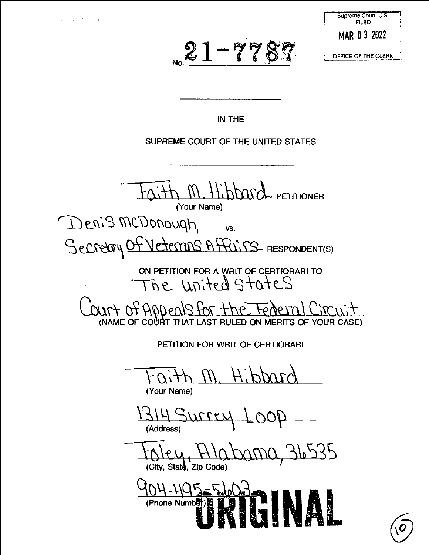**21-7787** OFFICE OF THE CLERK

Supreme Court, U.S. FILED **MAR 0 3 2022**

## IN THE

# SUPREME COURT OF THE UNITED STATES

*M. Hibbard* PETITIONER (Your Name)

Denis McDonough, vs. Secretary Of Veterans Affairs RESPONDENT(S)

ON PETITION FOR A WRIT OF CERTIORARI TO United StateS

Curt of Appeals for the Federal Circu (NAME OF COURT THAT LAST RULED ON MERITS OF YOUR CASE)

PETITION FOR WRIT OF CERTIORARI

 $H$ . $P$ po $v$ 

(Your Name)

 $\overline{O}$ SIH SURFRY

toley, Hlabama, 36535 (City, State, Zip Code) 14-1195-5-60

(Phone Numb®1)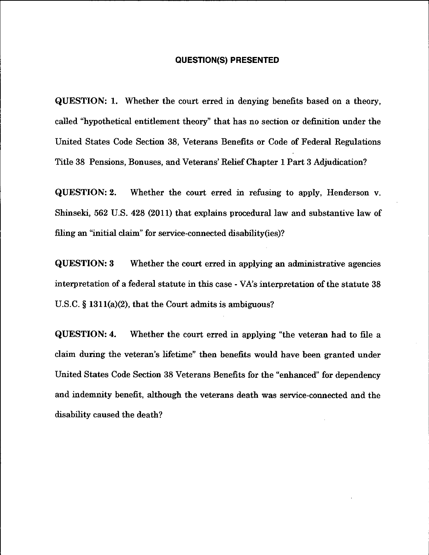#### QUESTION(S) PRESENTED

QUESTION: 1. Whether the court erred in denying benefits based on a theory, called "hypothetical entitlement theory" that has no section or definition under the United States Code Section 38, Veterans Benefits or Code of Federal Regulations Title 38 Pensions, Bonuses, and Veterans' ReliefChapter <sup>1</sup> Part 3 Adjudication?

QUESTION: 2. Whether the court erred in refusing to apply, Henderson v. Shinseki, 562 U.S. 428 (2011) that explains procedural law and substantive law of filing an "initial claim" for service-connected disability(ies)?

QUESTION: 3 Whether the court erred in applying an administrative agencies interpretation of a federal statute in this case - VA's interpretation of the statute 38 U.S.C. § 1311(a)(2), that the Court admits is ambiguous?

QUESTION: 4. Whether the court erred in applying "the veteran had to file a claim during the veteran's lifetime" then benefits would have been granted under United States Code Section 38 Veterans Benefits for the "enhanced" for dependency and indemnity benefit, although the veterans death was service-connected and the disability caused the death?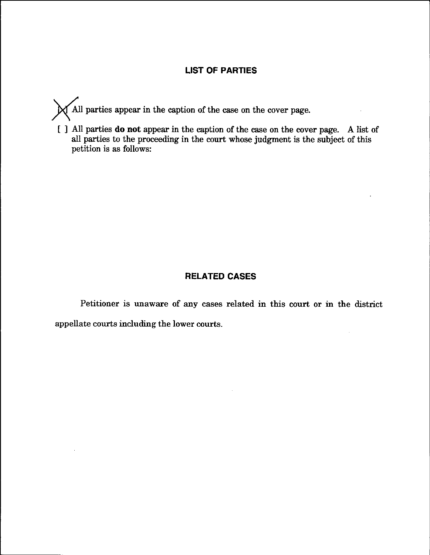### LIST OF PARTIES

All parties appear in the caption of the case on the cover page.

[ ] All parties do not appear in the caption of the case on the cover page. A list of all parties to the proceeding in the court whose judgment is the subject of this petition is as follows:

# RELATED CASES

Petitioner is unaware of any cases related in this court or in the district appellate courts including the lower courts.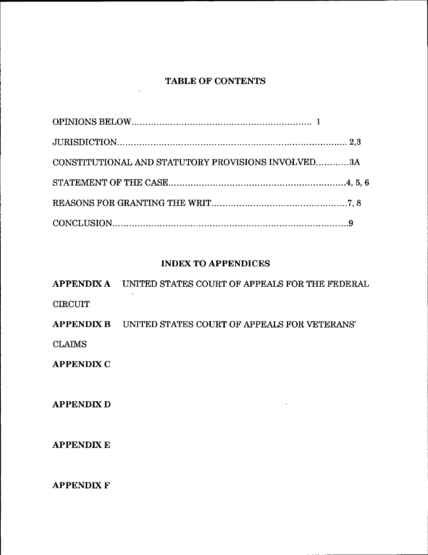# **TABLE OF CONTENTS**

| CONSTITUTIONAL AND STATUTORY PROVISIONS INVOLVED3A |  |
|----------------------------------------------------|--|
|                                                    |  |
|                                                    |  |
|                                                    |  |

# **INDEX TO APPENDICES**

**APPENDIX A** UNITED STATES COURT OF APPEALS FOR THE FEDERAL **CIRCUIT APPENDIX B** UNITED STATES COURT OF APPEALS FOR VETERANS'

CLAIMS

**APPENDIX C**

**APPENDIX D**

**APPENDIX E**

**APPENDIX F**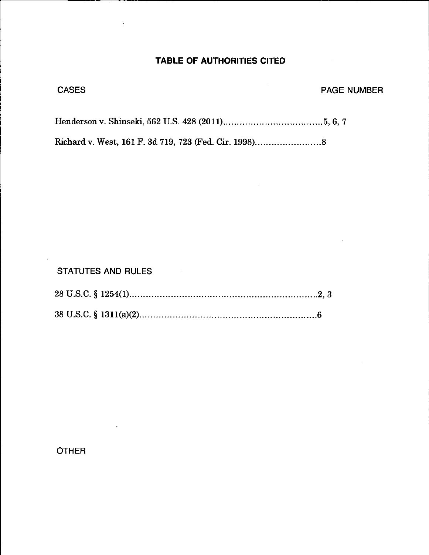# **TABLE OF AUTHORITIES CITED**

 $\bar{z}$ 

### CASES PAGE NUMBER

Henderson v. Shinseki, 562 U.S. 428 (2011) 5, 6,7

Richard v. West, 161 F. 3d 719, 723 (Fed. Cir. 1998) 8

STATUTES AND RULES

 $\overline{\phantom{a}}$ 

**OTHER**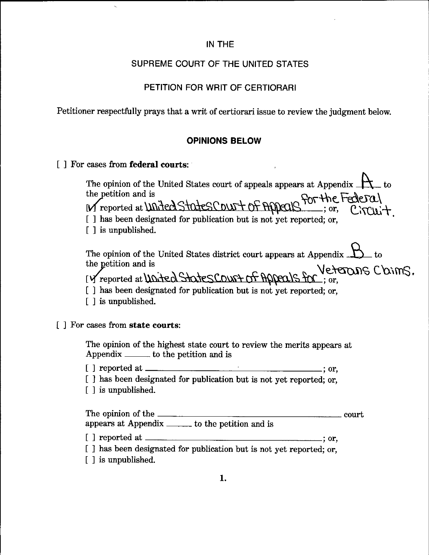### IN THE

# SUPREME COURT OF THE UNITED STATES

## PETITION FOR WRIT OF CERTIORARI

Petitioner respectfully prays that a writ of certiorari issue to review the judgment below.

#### OPINIONS BELOW

#### [ ] For cases from **federal courts:**

 $\hat{\mathbf{z}}_i$ 

| The opinion of the United States court of appeals appears at Appendix $\Box$<br>the petition and is<br>$\frac{1}{100}$ for the Federal<br>reported at United States Court of Anneals<br>has been designated for publication but is not yet reported; or,<br>[ ] is unpublished. |  |
|---------------------------------------------------------------------------------------------------------------------------------------------------------------------------------------------------------------------------------------------------------------------------------|--|
| The opinion of the United States district court appears at Appendix $\Box$<br>the petition and is<br>Experience at United States COURT of Appeals for; or,<br>[] has been designated for publication but is not yet reported; or,<br>[ ] is unpublished.                        |  |
| or cases from state courts:                                                                                                                                                                                                                                                     |  |

 $\cdot$ 

The Opinion of the highest state court to review the merits appears at Appendix\_\_\_\_\_ to the petition and is

 $[ ]$  reported at  $\qquad \qquad$  ; or,

[] has been designated for publication but is not yet reported; or,

[ ] is unpublished.

| The opinion of the |                                                         | court |
|--------------------|---------------------------------------------------------|-------|
|                    | appears at Appendix <u>equal</u> to the petition and is |       |

 $[ ]$  reported at  $\qquad \qquad$  ; or,

[ ] has been designated for publication but is not yet reported; or,

[ ] is unpublished.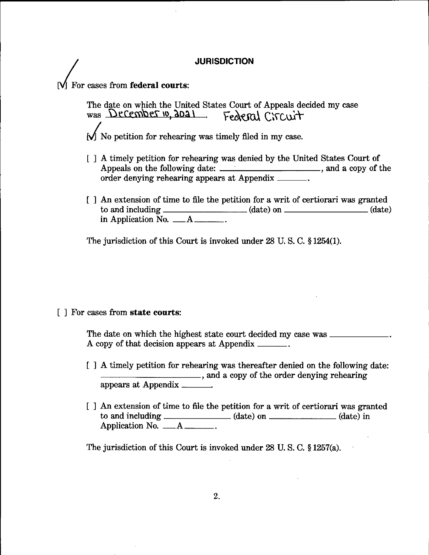For cases from **federal courts:**

The date on which the United States Court of Appeals decided my case was December 10, 2021 Federal Circuit

 $\overline{M}$  No petition for rehearing was timely filed in my case.

- [ ] A timely petition for rehearing was denied by the United States Court of Appeals on the following date: \_\_\_\_\_\_\_\_\_\_\_\_\_\_\_\_\_\_\_\_, and a copy of the order denying rehearing appears at Appendix
- [ ] An extension of time to file the petition for a writ of certiorari was granted to and including \_\_\_\_\_\_\_\_\_\_\_\_\_\_\_\_\_\_ (date) on \_\_\_\_\_\_\_\_\_\_\_\_\_\_\_ (date) in Application No.  $\overline{\phantom{a}}$  A  $\overline{\phantom{a}}$

The jurisdiction of this Court is invoked under 28 U. S. C. § 1254(1).

## [ ] For cases from **state courts:**

The date on which the highest state court decided my case was \_\_\_\_\_\_\_\_\_\_\_\_. A copy of that decision appears at Appendix \_\_\_\_\_\_\_.

- [ ] A timely petition for rehearing was thereafter denied on the following date: \_\_\_\_\_\_\_\_\_\_\_\_\_\_\_\_\_\_\_\_\_\_, and a copy of the order denying rehearing appears at Appendix
- [ ] An extension of time to file the petition for a writ of certiorari was granted to and including \_\_\_\_\_\_\_\_\_\_\_\_\_\_(date) on \_\_\_\_\_\_\_\_\_\_\_\_\_(date) in Application No. \_\_ A \_\_\_\_\_\_.

The jurisdiction of this Court is invoked under 28 U. S. C. § 1257(a).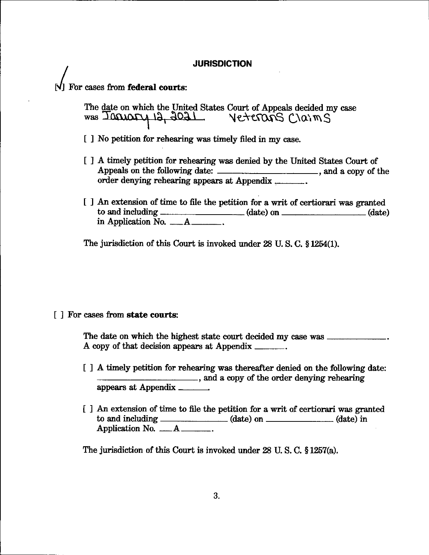# For cases from federal courts:

*\/\* For cases from **federal courts:**

**The date on which the United States Court of Appeals decided my case** was **T(KUCxr\^ \£v** *C\(XW\\$*

- [ ] No petition for rehearing was timely filed in my case.
- [ ] A timely petition for rehearing was denied by the United States Court of Appeals on the following date: \_\_\_\_\_\_\_\_\_\_\_\_\_\_\_\_\_\_\_\_\_, and a copy of the order denying rehearing appears at Appendix
- [ ] An extension of time to file the petition for a writ of certiorari was granted to and including \_\_\_\_\_\_\_\_\_\_\_\_\_\_(date) on \_\_\_\_\_\_\_\_\_\_\_(date) in Application No. \_\_ A \_\_\_\_\_\_\_.

The jurisdiction of this Court is invoked under 28 U. S. C. § 1254(1).

#### [ ] For cases from state courts:

The date on which the highest state court decided my case was \_\_\_\_\_\_\_\_\_\_\_\_. A copy of that decision appears at Appendix \_\_\_\_\_\_\_.

- [ ] A timely petition for rehearing was thereafter denied on the following date: \_\_\_\_\_\_\_\_\_\_\_\_\_\_\_\_\_\_\_\_\_\_, and a copy of the order denying rehearing appears at Appendix
- [ ] An extension of time to file the petition for a writ of certiorari was granted to and including  $\qquad \qquad$  (date) on  $\qquad$  (date) in Application No. \_\_ A \_\_\_\_\_\_.

The jurisdiction of this Court is invoked under 28 U. S. C. § 1257(a).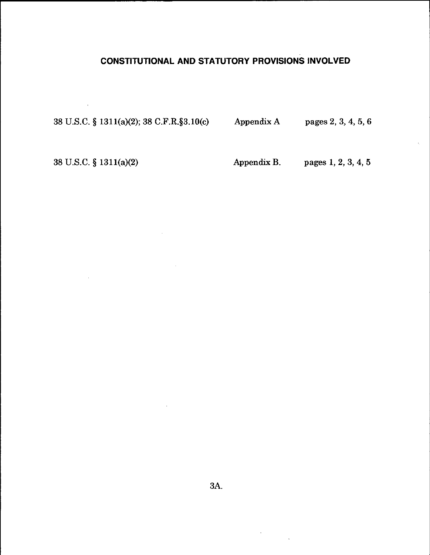# **CONSTITUTIONAL AND STATUTORY PROVISIONS INVOLVED**

38 U.S.C. § 1311(a)(2); 38 C.F.R.§3.10(c) Appendix A pages 2, 3, 4, 5, 6

 $\sim 10^7$ 

38 U.S.C. § 1311(a)(2) Appendix B. pages 1, 2, 3, 4, 5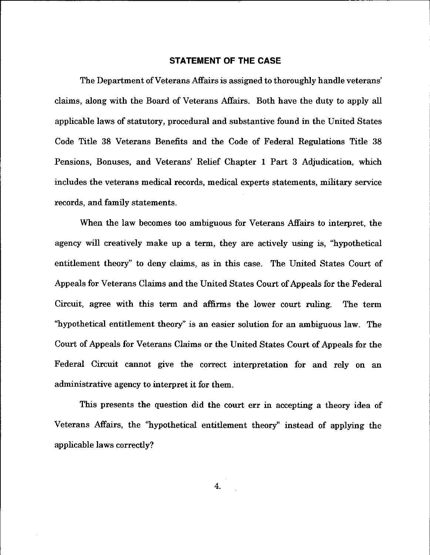#### **STATEMENT OF THE CASE**

The Department of Veterans Affairs is assigned to thoroughly handle veterans' claims, along with the Board of Veterans Affairs. Both have the duty to apply all applicable laws of statutory, procedural and substantive found in the United States Code Title 38 Veterans Benefits and the Code of Federal Regulations Title 38 Pensions, Bonuses, and Veterans' Relief Chapter <sup>1</sup> Part 3 Adjudication, which includes the veterans medical records, medical experts statements, military service records, and family statements.

When the law becomes too ambiguous for Veterans Affairs to interpret, the agency will creatively make up a term, they are actively using is, "hypothetical entitlement theory" to deny claims, as in this case. The United States Court of Appeals for Veterans Claims and the United States Court of Appeals for the Federal Circuit, agree with this term and affirms the lower court ruling. The term "hypothetical entitlement theory" is an easier solution for an ambiguous law. The Court of Appeals for Veterans Claims or the United States Court of Appeals for the Federal Circuit cannot give the correct interpretation for and rely on an administrative agency to interpret it for them.

This presents the question did the court err in accepting a theory idea of Veterans Affairs, the "hypothetical entitlement theory" instead of applying the applicable laws correctly?

4.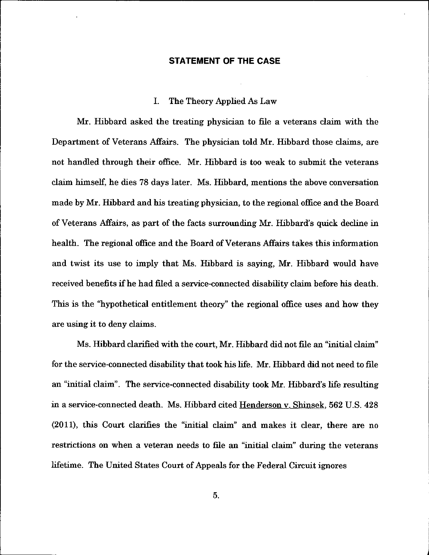#### STATEMENT OF THE CASE

#### I. The Theory Applied As Law

Mr. Hibbard asked the treating physician to file a veterans claim with the Department of Veterans Affairs. The physician told Mr. Hibbard those claims, are not handled through their office. Mr. Hibbard is too weak to submit the veterans claim himself, he dies 78 days later. Ms. Hibbard, mentions the above conversation made by Mr. Hibbard and his treating physician, to the regional office and the Board of Veterans Affairs, as part of the facts surrounding Mr. Hibbard's quick decline in health. The regional office and the Board of Veterans Affairs takes this information and twist its use to imply that Ms. Hibbard is saying, Mr. Hibbard would have received benefits if he had filed a service-connected disability claim before his death. This is the "hypothetical entitlement theory" the regional office uses and how they are using it to deny claims.

Ms. Hibbard clarified with the court, Mr. Hibbard did not file an "initial claim" for the service-connected disability that took hislife. Mr. Hibbard did not need to file an "initial claim". The service-connected disability took Mr. Hibbard's life resulting in a service-connected death. Ms. Hibbard cited Henderson v. Shinsek. 562 U.S. 428 (2011), this Court clarifies the "initial claim" and makes it clear, there are no restrictions on when a veteran needs to file an "initial claim" during the veterans lifetime. The United States Court of Appeals for the Federal Circuit ignores

**i**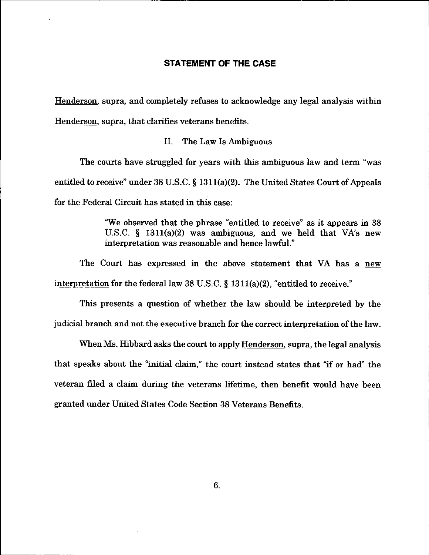#### **STATEMENT OF THE CASE**

Henderson, supra, and completely refuses to acknowledge any legal analysis within Henderson, supra, that clarifies veterans benefits.

II. The Law Is Ambiguous

The courts have struggled for years with this ambiguous law and term "was entitled to receive" under  $38 \text{ U.S. C. }$  §  $1311(a)(2)$ . The United States Court of Appeals for the Federal Circuit has stated in this case:

> "We observed that the phrase "entitled to receive" as it appears in 38 U.S.C. § 1311(a)(2) was ambiguous, and we held that VA's new interpretation was reasonable and hence lawful."

The Court has expressed in the above statement that VA has a new interpretation for the federal law 38 U.S.C. § 1311(a)(2), "entitled to receive."

This presents a question of whether the law should be interpreted by the judicial branch and not the executive branch for the correct interpretation of the law.

When Ms. Hibbard asks the court to apply Henderson, supra, the legal analysis that speaks about the "initial claim," the court instead states that "if or had" the veteran filed a claim during the veterans lifetime, then benefit would have been granted under United States Code Section 38 Veterans Benefits.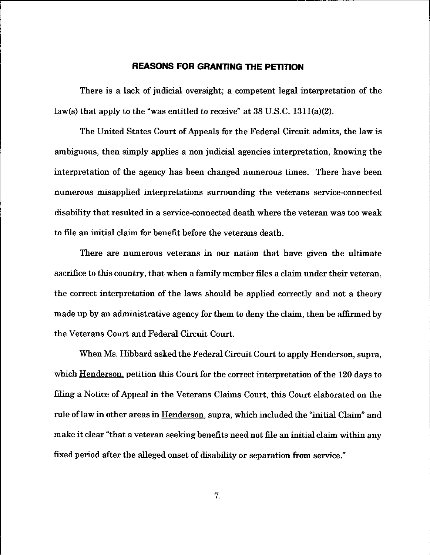#### **REASONS FOR GRANTING THE PETITION**

There is a lack of judicial oversight; a competent legal interpretation of the law(s) that apply to the "was entitled to receive" at 38 U.S.C. 1311(a)(2).

The United States Court of Appeals for the Federal Circuit admits, the law is ambiguous, then simply applies a non judicial agencies interpretation, knowing the interpretation of the agency has been changed numerous times. There have been numerous misapplied interpretations surrounding the veterans service-connected disability that resulted in a service-connected death where the veteran was too weak to file an initial claim for benefit before the veterans death.

There are numerous veterans in our nation that have given the ultimate sacrifice to this country, that when a family member files a claim under their veteran, the correct interpretation of the laws should be applied correctly and not a theory made up by an administrative agency for them to deny the claim, then be affirmed by the Veterans Court and Federal Circuit Court.

When Ms. Hibbard asked the Federal Circuit Court to apply Henderson, supra, which Henderson, petition this Court for the correct interpretation of the 120 days to filing a Notice of Appeal in the Veterans Claims Court, this Court elaborated on the rule of law in other areas in Henderson, supra, which included the "initial Claim" and make it clear "that a veteran seeking benefits need not file an initial claim within any fixed period after the alleged onset of disability or separation from service."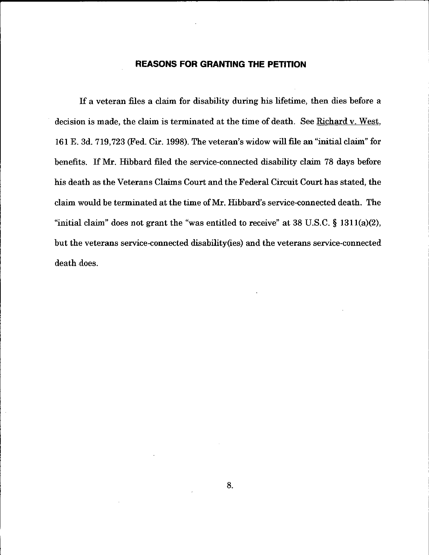#### **REASONS FOR GRANTING THE PETITION**

If a veteran files a claim for disability during his lifetime, then dies before a decision is made, the claim is terminated at the time of death. See Richard v. West, 161 E. 3d. 719,723 (Fed. Cir. 1998). The veteran's widow will file an "initial claim" for benefits. If Mr. Hibbard filed the service-connected disability claim 78 days before his death as the Veterans Claims Court and the Federal Circuit Court has stated, the claim would be terminated at the time ofMr. Hibbard's service-connected death. The "initial claim" does not grant the "was entitled to receive" at  $38 \text{ U.S.C.}$  §  $1311(a)(2)$ , but the veterans service-connected disability(ies) and the veterans service-connected death does.